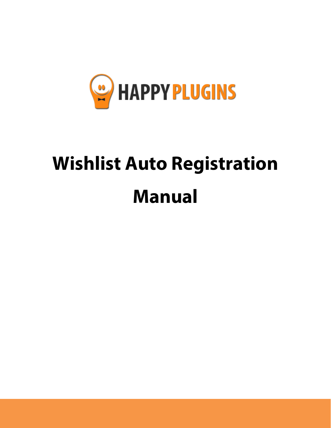

# **Wishlist Auto Registration Manual**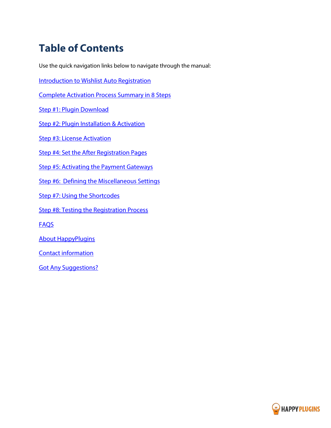# **Table of Contents**

Use the quick navigation links below to navigate through the manual:

[Introduction to Wishlist Auto Registration](#page-2-0)

[Complete Activation Process Summary in 8 Steps](#page-4-0)

[Step #1: Plugin Download](#page-5-0) 

[Step #2: Plugin Installation & Activation](#page-6-0)

[Step #3: License Activation](#page-7-0)

[Step #4: Set the After Registration Pages](#page-11-0)

[Step #5: Activating the Payment Gateways](#page-12-0)

[Step #6: Defining the Miscellaneous Settings](#page-13-0)

[Step #7: Using the Shortcodes](#page-14-0)

[Step #8: Testing the Registration Process](#page-16-0)

[FAQS](#page-17-0)

[About HappyPlugins](#page-19-0) 

[Contact information](#page-20-0) 

[Got Any Suggestions?](#page-21-0)

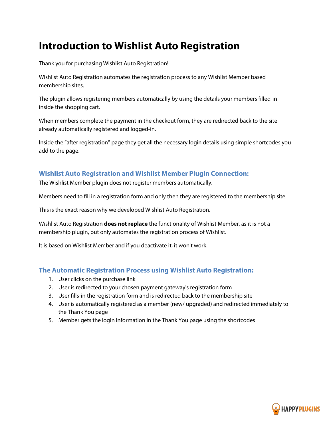### <span id="page-2-0"></span>**Introduction to Wishlist Auto Registration**

Thank you for purchasing Wishlist Auto Registration!

Wishlist Auto Registration automates the registration process to any Wishlist Member based membership sites.

The plugin allows registering members automatically by using the details your members filled-in inside the shopping cart.

When members complete the payment in the checkout form, they are redirected back to the site already automatically registered and logged-in.

Inside the "after registration" page they get all the necessary login details using simple shortcodes you add to the page.

### **Wishlist Auto Registration and Wishlist Member Plugin Connection:**

The Wishlist Member plugin does not register members automatically.

Members need to fill in a registration form and only then they are registered to the membership site.

This is the exact reason why we developed Wishlist Auto Registration.

Wishlist Auto Registration **does not replace** the functionality of Wishlist Member, as it is not a membership plugin, but only automates the registration process of Wishlist.

It is based on Wishlist Member and if you deactivate it, it won't work.

### **The Automatic Registration Process using Wishlist Auto Registration:**

- 1. User clicks on the purchase link
- 2. User is redirected to your chosen payment gateway's registration form
- 3. User fills-in the registration form and is redirected back to the membership site
- 4. User is automatically registered as a member (new/ upgraded) and redirected immediately to the Thank You page
- 5. Member gets the login information in the Thank You page using the shortcodes

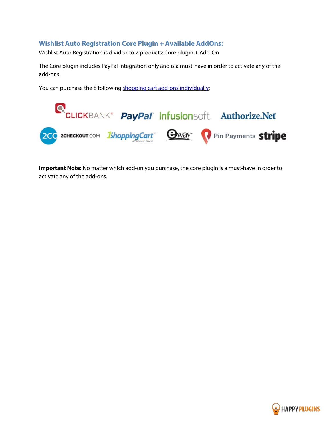### **Wishlist Auto Registration Core Plugin + Available AddOns:**

Wishlist Auto Registration is divided to 2 products: Core plugin + Add-On

The Core plugin includes PayPal integration only and is a must-have in order to activate any of the add-ons.

You can purchase the 8 following [shopping cart add-ons individually:](http://happyplugins.com/downloads/tag/wishlist-auto-registration/?utm_source=manual&utm_medium=addons-in-introduction&utm_term=WishlistAutoRegistration&utm_content=WishlistAutoRegistration&utm_campaign=WishlistAutoRegistration)



**Important Note:** No matter which add-on you purchase, the core plugin is a must-have in order to activate any of the add-ons.

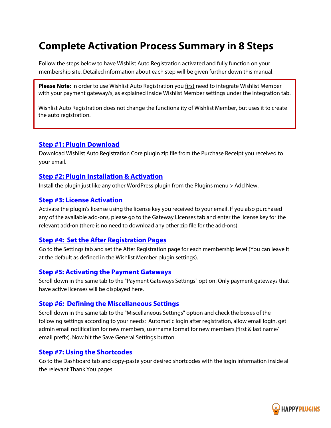### <span id="page-4-0"></span>**Complete Activation Process Summary in 8 Steps**

Follow the steps below to have Wishlist Auto Registration activated and fully function on your membership site. Detailed information about each step will be given further down this manual.

**Please Note:** In order to use Wishlist Auto Registration you first need to integrate Wishlist Member with your payment gateway/s, as explained inside Wishlist Member settings under the Integration tab.

Wishlist Auto Registration does not change the functionality of Wishlist Member, but uses it to create the auto registration.

### **Step #1: [Plugin Download](#page-5-0)**

Download Wishlist Auto Registration Core plugin zip file from the Purchase Receipt you received to your email.

#### **Step #2: Plugin [Installation & Activation](#page-6-0)**

Install the plugin just like any other WordPress plugin from the Plugins menu > Add New.

#### **[Step #3: License Activation](#page-7-0)**

Activate the plugin's license using the license key you received to your email. If you also purchased any of the available add-ons, please go to the Gateway Licenses tab and enter the license key for the relevant add-on (there is no need to download any other zip file for the add-ons).

#### **[Step #4: Set the After Registration Pages](#page-11-0)**

Go to the Settings tab and set the After Registration page for each membership level (You can leave it at the default as defined in the Wishlist Member plugin settings).

#### **[Step #5: Activating the Payment Gateways](#page-12-0)**

Scroll down in the same tab to the "Payment Gateways Settings" option. Only payment gateways that have active licenses will be displayed here.

#### **[Step #6: Defining the Miscellaneous Settings](#page-13-0)**

Scroll down in the same tab to the "Miscellaneous Settings" option and check the boxes of the following settings according to your needs: Automatic login after registration, allow email login, get admin email notification for new members, username format for new members (first & last name/ email prefix). Now hit the Save General Settings button.

#### **[Step #7: Using the Shortcodes](#page-14-0)**

Go to the Dashboard tab and copy-paste your desired shortcodes with the login information inside all the relevant Thank You pages.

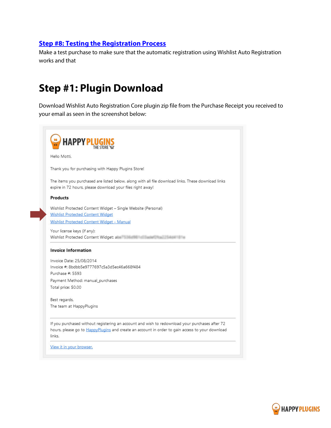### **[Step #8: Testing the Registration Process](#page-16-0)**

<span id="page-5-0"></span>Make a test purchase to make sure that the automatic registration using Wishlist Auto Registration works and that

### **Step #1: Plugin Download**

Download Wishlist Auto Registration Core plugin zip file from the Purchase Receipt you received to your email as seen in the screenshot below:



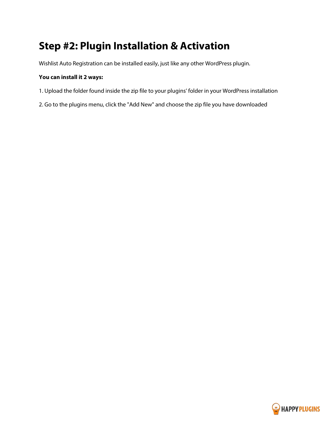# <span id="page-6-0"></span>**Step #2: Plugin Installation & Activation**

Wishlist Auto Registration can be installed easily, just like any other WordPress plugin.

#### **You can install it 2 ways:**

- 1. Upload the folder found inside the zip file to your plugins' folder in your WordPress installation
- 2. Go to the plugins menu, click the "Add New" and choose the zip file you have downloaded

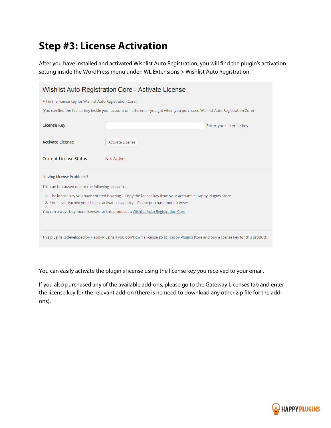## <span id="page-7-0"></span>**Step #3: License Activation**

After you have installed and activated Wishlist Auto Registration, you will find the plugin's activation setting inside the WordPress menu under: WL Extensions > Wishlist Auto Registration:

| Wishlist Auto Registration Core - Activate License                                                                                                                                                   |                                                                                                                               |  |  |
|------------------------------------------------------------------------------------------------------------------------------------------------------------------------------------------------------|-------------------------------------------------------------------------------------------------------------------------------|--|--|
| Fill in the license key for Wishlist Auto Registration Core.                                                                                                                                         |                                                                                                                               |  |  |
|                                                                                                                                                                                                      | (You can find the license key inside your account or in the email you got when you purchased Wishlist Auto Registration Core) |  |  |
| <b>License Key</b>                                                                                                                                                                                   | Enter your license key                                                                                                        |  |  |
| <b>Activate License</b>                                                                                                                                                                              | Activate License                                                                                                              |  |  |
| <b>Current License Status</b>                                                                                                                                                                        | Not Active                                                                                                                    |  |  |
| <b>Having License Problems?</b>                                                                                                                                                                      |                                                                                                                               |  |  |
| This can be caused due to the following scenarios:                                                                                                                                                   |                                                                                                                               |  |  |
| 1. The license key you have entered is wrong - Copy the license key from your account in Happy Plugins Store<br>2. You have reached your license activation capacity - Please purchase more licenses |                                                                                                                               |  |  |
| You can always buy more licenses for this product at: Wishlist Auto Registration Core                                                                                                                |                                                                                                                               |  |  |
|                                                                                                                                                                                                      |                                                                                                                               |  |  |
| This plugins is developed by HappyPlugins if you don't own a license go to Happy Plugins store and buy a license key for this product.                                                               |                                                                                                                               |  |  |

You can easily activate the plugin's license using the license key you received to your email.

If you also purchased any of the available add-ons, please go to the Gateway Licenses tab and enter the license key for the relevant add-on (there is no need to download any other zip file for the addons).

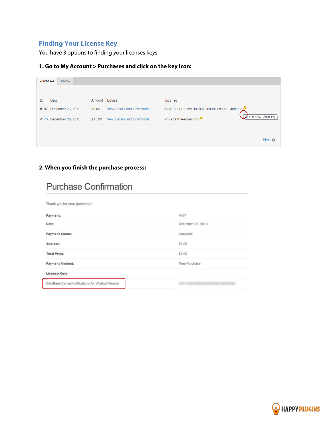### **Finding Your License Key**

You have 3 options to finding your licenses keys:

### **1. Go to My Account > Purchases and click on the key icon:**

| <b>Purchases</b>       | Profile           |         |                                   |                                                    |                           |
|------------------------|-------------------|---------|-----------------------------------|----------------------------------------------------|---------------------------|
|                        |                   |         |                                   |                                                    |                           |
| Date<br>ID             |                   | Amount  | <b>Details</b>                    | License                                            |                           |
| #197                   | December 26, 2013 | \$0.00  | <b>View Details and Downloads</b> | ClickBank Cancel Notifications for Wishlist Member |                           |
| #140 December 23, 2013 |                   | \$15.00 | <b>View Details and Downloads</b> | Clickbank Redirection                              | Click to view license key |
|                        |                   |         |                                   |                                                    |                           |
|                        |                   |         |                                   |                                                    | Next $\bullet$            |
|                        |                   |         |                                   |                                                    |                           |

### **2. When you finish the purchase process:**

| <b>Purchase Confirmation</b>                       |                   |  |  |  |
|----------------------------------------------------|-------------------|--|--|--|
| Thank you for your purchase!                       |                   |  |  |  |
| Payment:                                           | #197              |  |  |  |
| Date:                                              | December 26, 2013 |  |  |  |
| Payment Status:                                    | Complete          |  |  |  |
| Subtotal                                           | \$0.00            |  |  |  |
| <b>Total Price:</b>                                | \$0.00            |  |  |  |
| Payment Method:                                    | Free Purchase     |  |  |  |
| License Keys:                                      |                   |  |  |  |
| ClickBank Cancel Notifications for Wishlist Member |                   |  |  |  |

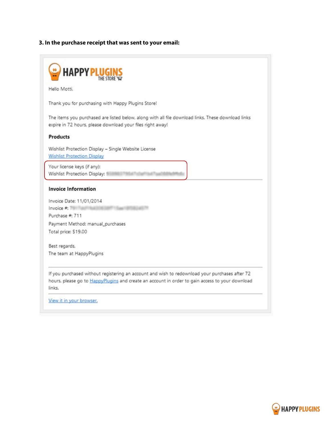### **3. In the purchase receipt that was sent to your email:**

| Hello Motti.                                                                                            |                                                                                                                                                                  |
|---------------------------------------------------------------------------------------------------------|------------------------------------------------------------------------------------------------------------------------------------------------------------------|
|                                                                                                         | Thank you for purchasing with Happy Plugins Store!                                                                                                               |
|                                                                                                         | The items you purchased are listed below, along with all file download links. These download links<br>expire in 72 hours, please download your files right away! |
| <b>Products</b>                                                                                         |                                                                                                                                                                  |
|                                                                                                         | Wishlist Protection Display - Single Website License<br><b>Wishlist Protection Display</b>                                                                       |
| Wishlist Protection Display:                                                                            | Your license keys (if any):                                                                                                                                      |
|                                                                                                         |                                                                                                                                                                  |
|                                                                                                         |                                                                                                                                                                  |
|                                                                                                         | Invoice Date: 11/01/2014                                                                                                                                         |
|                                                                                                         |                                                                                                                                                                  |
|                                                                                                         |                                                                                                                                                                  |
|                                                                                                         | Payment Method: manual_purchases                                                                                                                                 |
|                                                                                                         |                                                                                                                                                                  |
| <b>Invoice Information</b><br>Invoice $#$ :<br>Purchase #: 711<br>Total price: \$19.00<br>Best regards, |                                                                                                                                                                  |
|                                                                                                         | The team at HappyPlugins                                                                                                                                         |
|                                                                                                         | If you purchased without registering an account and wish to redownload your purchases after 72                                                                   |

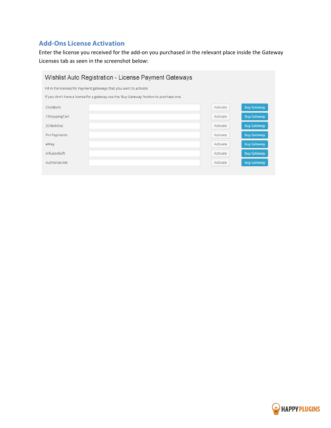### **Add-Ons License Activation**

Enter the license you received for the add-on you purchased in the relevant place inside the Gateway Licenses tab as seen in the screenshot below:

| Wishlist Auto Registration - License Payment Gateways                                   |  |          |                    |
|-----------------------------------------------------------------------------------------|--|----------|--------------------|
| Fill in the licenses for Payment gateways that you want to activate                     |  |          |                    |
| If you don't have a license for a gateway use the 'Buy Gateway' button to purchase one. |  |          |                    |
| ClickBank                                                                               |  | Activate | <b>Buy Gateway</b> |
| 1ShoppingCart                                                                           |  | Activate | <b>Buy Gateway</b> |
| 2CheckOut                                                                               |  | Activate | <b>Buy Gateway</b> |
| Pin Payments                                                                            |  | Activate | <b>Buy Gateway</b> |
| eWay                                                                                    |  | Activate | <b>Buy Gateway</b> |
| <b>InfusionSoft</b>                                                                     |  | Activate | <b>Buy Gateway</b> |
| Authorize.Net                                                                           |  | Activate | <b>Buy Gateway</b> |
|                                                                                         |  |          |                    |

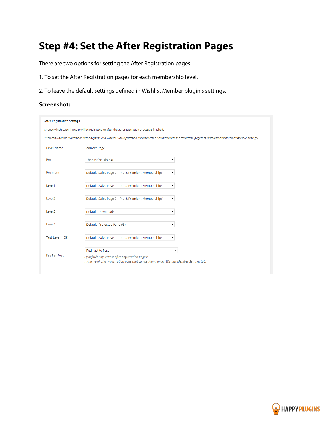# <span id="page-11-0"></span>**Step #4: Set the After Registration Pages**

There are two options for setting the After Registration pages:

- 1. To set the After Registration pages for each membership level.
- 2. To leave the default settings defined in Wishlist Member plugin's settings.

#### **Screenshot:**

| <b>After Registration Settings</b>                                                               |                                                                                                                                                                          |                                                                                                                                                                                        |
|--------------------------------------------------------------------------------------------------|--------------------------------------------------------------------------------------------------------------------------------------------------------------------------|----------------------------------------------------------------------------------------------------------------------------------------------------------------------------------------|
| Choose which page the user will be redirected to after the autoregistration process is finished. |                                                                                                                                                                          |                                                                                                                                                                                        |
|                                                                                                  |                                                                                                                                                                          | * You can leave the redirections at the defaults and Wishlist AutoRegistration will redirect the new member to the redirection page that is set inside wishlist member level settings. |
| <b>Level Name</b>                                                                                | <b>Redirect Page</b>                                                                                                                                                     |                                                                                                                                                                                        |
| Pro                                                                                              | Thanks for Joining!                                                                                                                                                      |                                                                                                                                                                                        |
| Premium                                                                                          | Default (Sales Page 2 - Pro & Premium Memberships)                                                                                                                       |                                                                                                                                                                                        |
| Level1                                                                                           | Default (Sales Page 2 - Pro & Premium Memberships)                                                                                                                       | ۰                                                                                                                                                                                      |
| Level <sub>2</sub>                                                                               | Default (Sales Page 2 - Pro & Premium Memberships)                                                                                                                       | ۷                                                                                                                                                                                      |
| Level3                                                                                           | Default (Downloads)                                                                                                                                                      |                                                                                                                                                                                        |
| Level4                                                                                           | Default (Protected Page #5)                                                                                                                                              | ۰                                                                                                                                                                                      |
| Test Level   OK                                                                                  | Default (Sales Page 2 - Pro & Premium Memberships)                                                                                                                       | ۰.                                                                                                                                                                                     |
| Pay Per Post                                                                                     | <b>Redirect to Post</b><br>By default PayPerPost after registration page is<br>the general after registration page that can be found under Wishlist Member Settings tab. |                                                                                                                                                                                        |

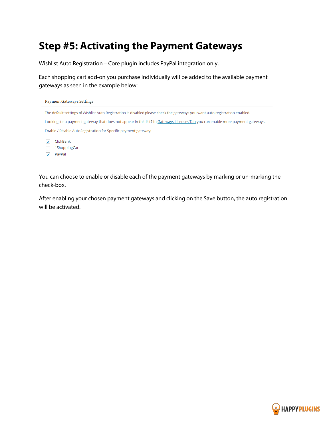### <span id="page-12-0"></span>**Step #5: Activating the Payment Gateways**

Wishlist Auto Registration – Core plugin includes PayPal integration only.

Each shopping cart add-on you purchase individually will be added to the available payment gateways as seen in the example below:



You can choose to enable or disable each of the payment gateways by marking or un-marking the check-box.

After enabling your chosen payment gateways and clicking on the Save button, the auto registration will be activated.

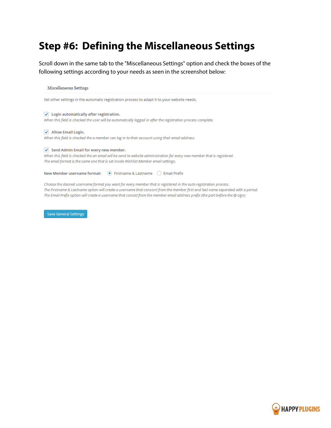### <span id="page-13-0"></span>**Step #6: Defining the Miscellaneous Settings**

Scroll down in the same tab to the "Miscellaneous Settings" option and check the boxes of the following settings according to your needs as seen in the screenshot below:

Miscellaneous Settings

Set other settings in the automatic registration process to adapt it to your website needs.

 $\blacktriangleright$  Login automatically after registration. When this field is checked the user will be automatically logged in after the registration process complete.

 $\blacktriangleright$  Allow Email Login. When this field is checked the a member can log in to their account using their email address.

#### $\sqrt{\phantom{a}}$  Send Admin Email for every new member.

When this field is checked the an email will be send to website administration for every new member that is registered. The email format is the same one that is set inside Wishlist Member email settings.

New Member username format: (a) Firstname & Lastname (c) Email Prefix

Choose the desired username format you want for every member that is registered in the auto registration process. The Firstname & Lastname option will create a username that consisnt from the member first and last name separated with a period. The Email Prefix option will create a username that consist from the member email address prefix (the part before the @ sign)

Save General Settings

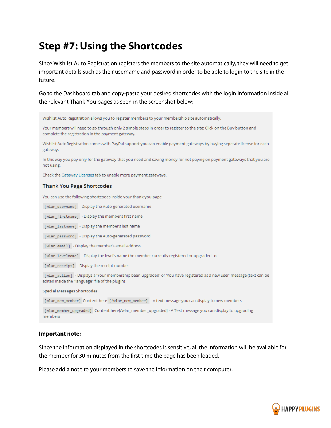### <span id="page-14-0"></span>**Step #7: Using the Shortcodes**

Wishlist Auto Registration allows you to register members to your membership site automatically.

Since Wishlist Auto Registration registers the members to the site automatically, they will need to get important details such as their username and password in order to be able to login to the site in the future.

Go to the Dashboard tab and copy-paste your desired shortcodes with the login information inside all the relevant Thank You pages as seen in the screenshot below:

Your members will need to go through only 2 simple steps in order to register to the site: Click on the Buy button and complete the registration in the payment gateway. Wishlist AutoRegistration comes with PayPal support you can enable payment gateways by buying seperate license for each gateway. In this way you pay only for the gateway that you need and saving money for not paying on payment gateways that you are not using. Check the Gateway Licenses tab to enable more payment gateways. **Thank You Page Shortcodes** You can use the following shortcodes inside your thank you page: [wlar\_username] - Display the Auto-generated username [wlar\_firstname] - Display the member's first name [wlar\_lastname] - Display the member's last name [wlar\_password] - Display the Auto-generated password [wlar\_email] - Display the member's email address [wlar\_levelname] - Display the level's name the member currently registered or upgraded to [wlar\_receipt] - Display the receipt number [wlar action] - Displays a 'Your membership been upgraded' or 'You have registered as a new user' message (text can be edited inside the "language" file of the plugin) **Special Messages Shortcodes** [wlar\_new\_member] Content here [/wlar\_new\_member] - A text message you can display to new members [wlar\_member\_upgraded] Content here[/wlar\_member\_upgraded] - A Text message you can display to upgrading members

#### **Important note:**

Since the information displayed in the shortcodes is sensitive, all the information will be available for the member for 30 minutes from the first time the page has been loaded.

Please add a note to your members to save the information on their computer.

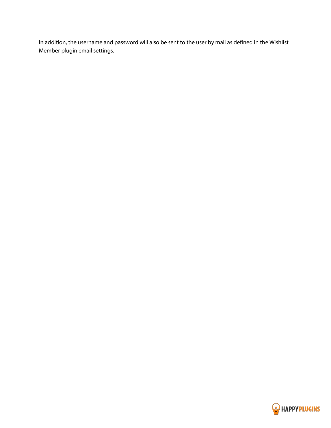In addition, the username and password will also be sent to the user by mail as defined in the Wishlist Member plugin email settings.

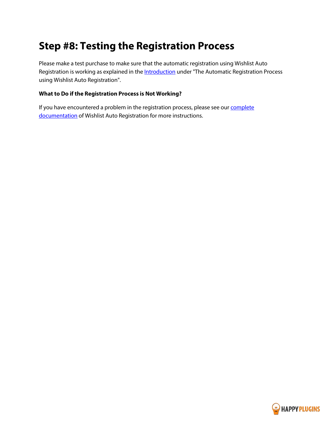### <span id="page-16-0"></span>**Step #8: Testing the Registration Process**

Please make a test purchase to make sure that the automatic registration using Wishlist Auto Registration is working as explained in the **Introduction** under "The Automatic Registration Process using Wishlist Auto Registration".

#### **What to Do if the Registration Process is Not Working?**

If you have encountered a problem in the registration process, please see our **complete** [documentation](http://docs.happyplugins.com/still-redirected-to-wishlist-member-regular-registration-page/) of Wishlist Auto Registration for more instructions.

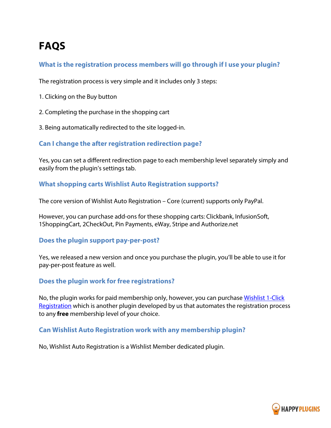# <span id="page-17-0"></span>**FAQS**

### **What is the registration process members will go through if I use your plugin?**

The registration process is very simple and it includes only 3 steps:

- 1. Clicking on the Buy button
- 2. Completing the purchase in the shopping cart
- 3. Being automatically redirected to the site logged-in.

### **Can I change the after registration redirection page?**

Yes, you can set a different redirection page to each membership level separately simply and easily from the plugin's settings tab.

### **What shopping carts Wishlist Auto Registration supports?**

The core version of Wishlist Auto Registration – Core (current) supports only PayPal.

However, you can purchase add-ons for these shopping carts: Clickbank, InfusionSoft, 1ShoppingCart, 2CheckOut, Pin Payments, eWay, Stripe and Authorize.net

### **Does the plugin support pay-per-post?**

Yes, we released a new version and once you purchase the plugin, you'll be able to use it for pay-per-post feature as well.

### **Does the plugin work for free registrations?**

No, the plugin works for paid membership only, however, you can purchase [Wishlist 1-Click](http://happyplugins.com/downloads/wishlist-1click-registration/?utm_source=wlauto-manual&utm_medium=wl1creg-faq&utm_campaign=Wishlist1ClickRegistration)  [Registration](http://happyplugins.com/downloads/wishlist-1click-registration/?utm_source=wlauto-manual&utm_medium=wl1creg-faq&utm_campaign=Wishlist1ClickRegistration) which is another plugin developed by us that automates the registration process to any **free** membership level of your choice.

### **Can Wishlist Auto Registration work with any membership plugin?**

No, Wishlist Auto Registration is a Wishlist Member dedicated plugin.

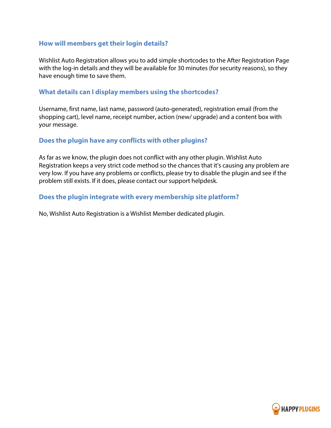### **How will members get their login details?**

Wishlist Auto Registration allows you to add simple shortcodes to the After Registration Page with the log-in details and they will be available for 30 minutes (for security reasons), so they have enough time to save them.

### **What details can I display members using the shortcodes?**

Username, first name, last name, password (auto-generated), registration email (from the shopping cart), level name, receipt number, action (new/ upgrade) and a content box with your message.

### **Does the plugin have any conflicts with other plugins?**

As far as we know, the plugin does not conflict with any other plugin. Wishlist Auto Registration keeps a very strict code method so the chances that it's causing any problem are very low. If you have any problems or conflicts, please try to disable the plugin and see if the problem still exists. If it does, please contact our support helpdesk.

### **Does the plugin integrate with every membership site platform?**

No, Wishlist Auto Registration is a Wishlist Member dedicated plugin.

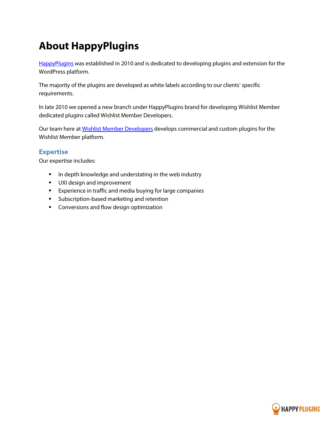# <span id="page-19-0"></span>**About HappyPlugins**

[HappyPlugins](http://happyplugins.com/?utm_source=manual&utm_medium=about&utm_term=WishlistAutoRegistration&utm_content=WishlistAutoRegistration&utm_campaign=WishlistAutoRegistration) was established in 2010 and is dedicated to developing plugins and extension for the WordPress platform.

The majority of the plugins are developed as white labels according to our clients' specific requirements.

In late 2010 we opened a new branch under HappyPlugins brand for developing Wishlist Member dedicated plugins called Wishlist Member Developers.

Our team here at [Wishlist Member Developers](http://wishlistmemberdevelopers.com/?utm_source=manual&utm_medium=about&utm_term=WishlistAutoRegistration&utm_content=WishlistAutoRegistration&utm_campaign=WishlistAutoRegistration) develops commercial and custom plugins for the Wishlist Member platform.

### **Expertise**

Our expertise includes:

- **IF** In depth knowledge and understating in the web industry
- **UXI design and improvement**
- **Experience in traffic and media buying for large companies**
- **Subscription-based marketing and retention**
- **EXECONCERGISTS** Conversions and flow design optimization

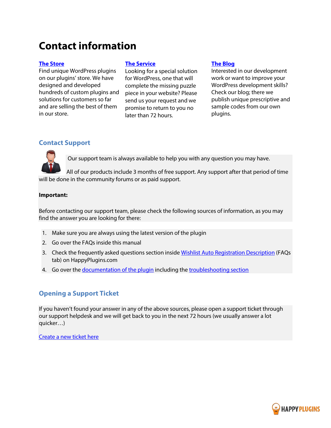### <span id="page-20-0"></span>**Contact information**

#### **[The Store](http://happyplugins.com/?utm_source=manual&utm_medium=contact-info&utm_term=WishlistAutoRegistration&utm_content=WishlistAutoRegistration&utm_campaign=WishlistAutoRegistration)**

Find unique WordPress plugins on our plugins' store. We have designed and developed hundreds of custom plugins and solutions for customers so far and are selling the best of them in our store.

#### **[The Service](http://blog.happyplugins.com/services/?utm_source=manual&utm_medium=contact-info&utm_term=WishlistAutoRegistration&utm_content=WishlistAutoRegistration&utm_campaign=WishlistAutoRegistration)**

Looking for a special solution for WordPress, one that will complete the missing puzzle piece in your website? Please send us your request and we promise to return to you no later than 72 hours.

#### **[The Blog](http://blog.happyplugins.com/?utm_source=manual&utm_medium=contact-info&utm_term=WishlistAutoRegistration&utm_content=WishlistAutoRegistration&utm_campaign=WishlistAutoRegistration)**

Interested in our development work or want to improve your WordPress development skills? Check our blog; there we publish unique prescriptive and sample codes from our own plugins.

### **Contact Support**

Our support team is always available to help you with any question you may have.

All of our products include 3 months of free support. Any support after that period of time will be done in the community forums or as paid support.

#### **Important:**

Before contacting our support team, please check the following sources of information, as you may find the answer you are looking for there:

- 1. Make sure you are always using the latest version of the plugin
- 2. Go over the FAQs inside this manual
- 3. Check the frequently asked questions section inside [Wishlist Auto Registration Description](http://happyplugins.com/downloads/wishlist-autoregistration?utm_source=manual&utm_medium=contact-support&utm_term=WishlistAutoRegistration&utm_content=WishlistAutoRegistration&utm_campaign=WishlistAutoRegistration) (FAQs tab) on HappyPlugins.com
- 4. Go over the [documentation of the plugin](http://docs.happyplugins.com/category/wishlist-member-plugins/wishlist-auto-registration/) including the [troubleshooting section](http://docs.happyplugins.com/category/wishlist-member-plugins/wishlist-auto-registration/troubleshotting/)

### **Opening a Support Ticket**

If you haven't found your answer in any of the above sources, please open a support ticket through our support helpdesk and we will get back to you in the next 72 hours (we usually answer a lot quicker…)

[Create a new ticket here](http://support.happyplugins.com/)